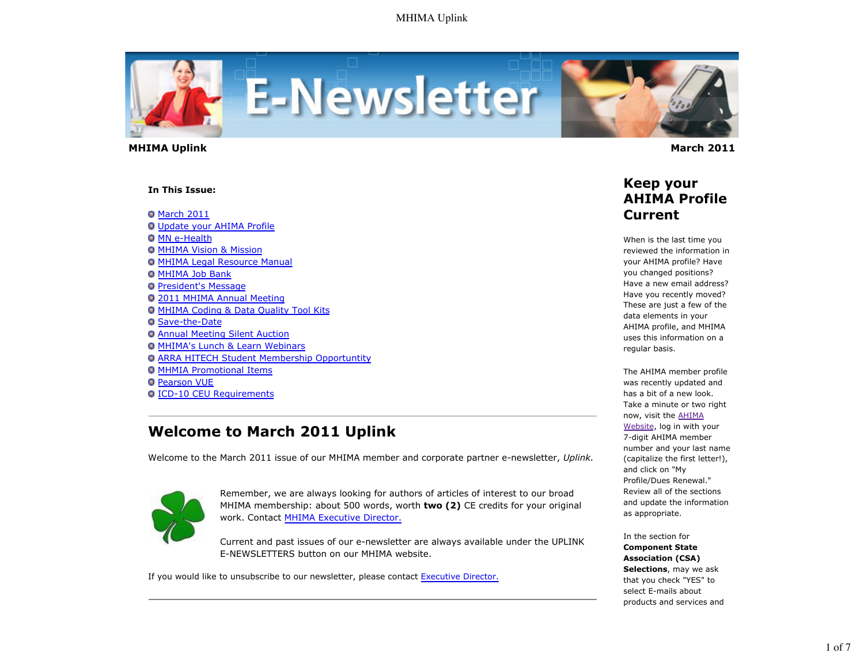

 **MHIMA Uplink March 2011** 

#### **In This Issue:**

**O** March 2011 Update your AHIMA Profile **O** MN e-Health MHIMA Vision & Mission **O MHIMA Legal Resource Manual O MHIMA Job Bank President's Message** 2011 MHIMA Annual Meeting MHIMA Coding & Data Quality Tool Kits Save-the-Date Annual Meeting Silent Auction **O MHIMA's Lunch & Learn Webinars ARRA HITECH Student Membership Opportuntity O MHMIA Promotional Items O** Pearson VUE ICD-10 CEU Requirements

## **Welcome to March 2011 Uplink**

Welcome to the March 2011 issue of our MHIMA member and corporate partner e-newsletter, *Uplink.*



Remember, we are always looking for authors of articles of interest to our broad MHIMA membership: about 500 words, worth **two (2)** CE credits for your original work. Contact MHIMA Executive Director.

Current and past issues of our e-newsletter are always available under the UPLINK E-NEWSLETTERS button on our MHIMA website.

If you would like to unsubscribe to our newsletter, please contact Executive Director.



### **Keep your AHIMA Profile Current**

When is the last time you reviewed the information in your AHIMA profile? Have you changed positions? Have a new email address? Have you recently moved? These are just a few of the data elements in your AHIMA profile, and MHIMA uses this information on a regular basis.

The AHIMA member profile was recently updated and has a bit of a new look. Take a minute or two right now, visit the AHIMA Website, log in with your 7-digit AHIMA member number and your last name (capitalize the first letter!), and click on "My Profile/Dues Renewal." Review all of the sections and update the information as appropriate.

In the section for **Component State Association (CSA) Selections**, may we ask that you check "YES" to select E-mails about products and services and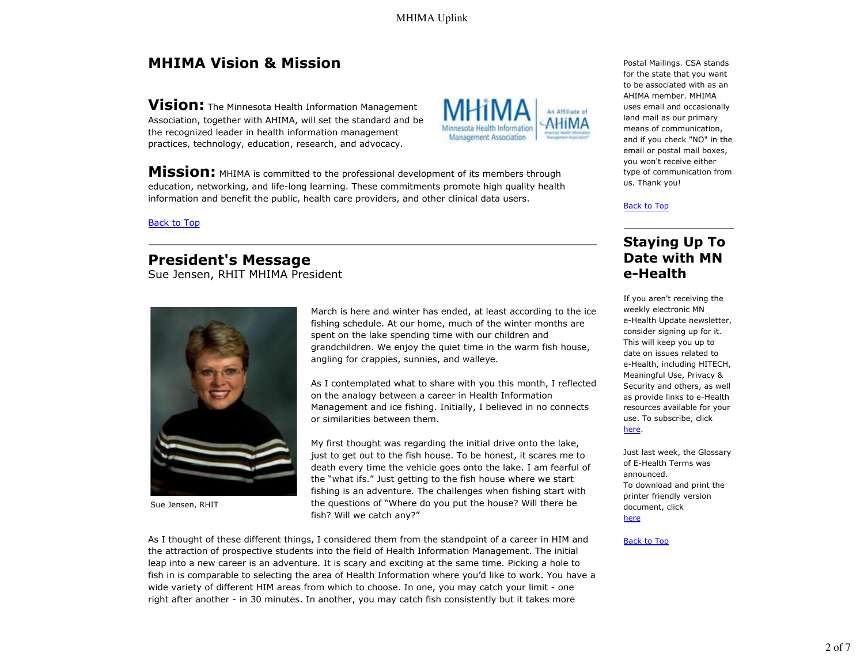MHIMA Uplink

# **MHIMA Vision & Mission**

**Vision:** The Minnesota Health Information Management Association, together with AHIMA, will set the standard and be the recognized leader in health information management practices, technology, education, research, and advocacy.

**Mission:** MHIMA is committed to the professional development of its members through education, networking, and life-long learning. These commitments promote high quality health information and benefit the public, health care providers, and other clinical data users.

AHIMA member. MHIMA uses email and occasionally land mail as our primary means of communication, and if you check "NO" in the email or postal mail boxes, you won't receive either type of communication from us. Thank you!

Postal Mailings. CSA stands for the state that you want to be associated with as an

### Back to Top

Back to Top

### **President's Message**

Sue Jensen, RHIT MHIMA President



Sue Jensen, RHIT

March is here and winter has ended, at least according to the ice fishing schedule. At our home, much of the winter months are spent on the lake spending time with our children and grandchildren. We enjoy the quiet time in the warm fish house, angling for crappies, sunnies, and walleye.

Management Association

As I contemplated what to share with you this month, I reflected on the analogy between a career in Health Information Management and ice fishing. Initially, I believed in no connects or similarities between them.

My first thought was regarding the initial drive onto the lake, just to get out to the fish house. To be honest, it scares me to death every time the vehicle goes onto the lake. I am fearful of the "what ifs." Just getting to the fish house where we start fishing is an adventure. The challenges when fishing start with the questions of "Where do you put the house? Will there be fish? Will we catch any?"

As I thought of these different things, I considered them from the standpoint of a career in HIM and the attraction of prospective students into the field of Health Information Management. The initial leap into a new career is an adventure. It is scary and exciting at the same time. Picking a hole to fish in is comparable to selecting the area of Health Information where you'd like to work. You have a wide variety of different HIM areas from which to choose. In one, you may catch your limit - one right after another - in 30 minutes. In another, you may catch fish consistently but it takes more

If you aren't receiving the weekly electronic MN e-Health Update newsletter, consider signing up for it. This will keep you up to date on issues related to e-Health, including HITECH, Meaningful Use, Privacy & Security and others, as well as provide links to e-Health resources available for your use. To subscribe, click

**Staying Up To Date with MN**

**e-Health**

here.

Just last week, the Glossary of E-Health Terms was announced. To download and print the printer friendly version document, click

### here

### Back to Top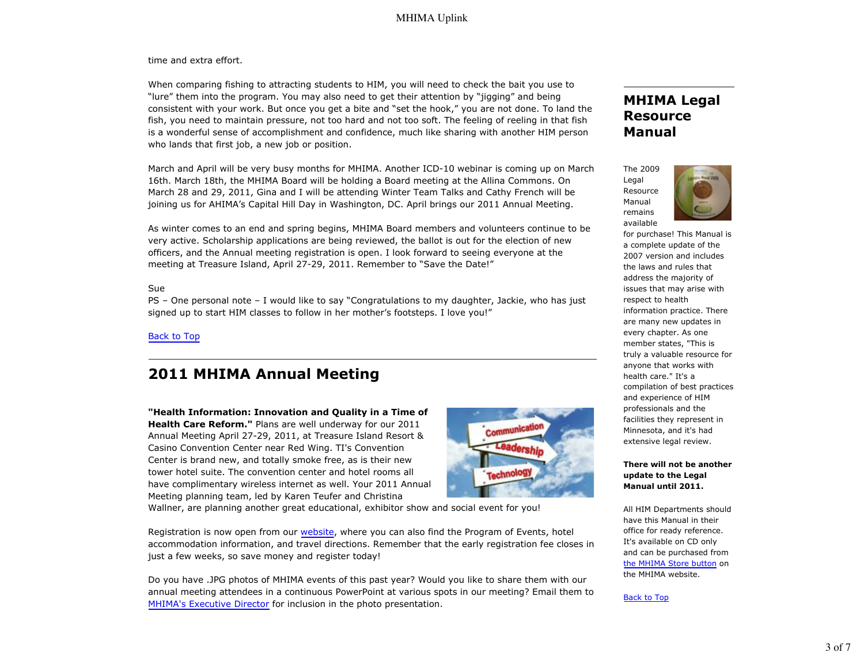time and extra effort.

When comparing fishing to attracting students to HIM, you will need to check the bait you use to "lure" them into the program. You may also need to get their attention by "jigging" and being consistent with your work. But once you get a bite and "set the hook," you are not done. To land the fish, you need to maintain pressure, not too hard and not too soft. The feeling of reeling in that fish is a wonderful sense of accomplishment and confidence, much like sharing with another HIM person who lands that first job, a new job or position.

March and April will be very busy months for MHIMA. Another ICD-10 webinar is coming up on March 16th. March 18th, the MHIMA Board will be holding a Board meeting at the Allina Commons. On March 28 and 29, 2011, Gina and I will be attending Winter Team Talks and Cathy French will be joining us for AHIMA's Capital Hill Day in Washington, DC. April brings our 2011 Annual Meeting.

As winter comes to an end and spring begins, MHIMA Board members and volunteers continue to be very active. Scholarship applications are being reviewed, the ballot is out for the election of new officers, and the Annual meeting registration is open. I look forward to seeing everyone at the meeting at Treasure Island, April 27-29, 2011. Remember to "Save the Date!"

#### Sue

PS – One personal note – I would like to say "Congratulations to my daughter, Jackie, who has just signed up to start HIM classes to follow in her mother's footsteps. I love you!"

Back to Top

# **2011 MHIMA Annual Meeting**

**"Health Information: Innovation and Quality in a Time of Health Care Reform."** Plans are well underway for our 2011 Annual Meeting April 27-29, 2011, at Treasure Island Resort & Casino Convention Center near Red Wing. TI's Convention Center is brand new, and totally smoke free, as is their new tower hotel suite. The convention center and hotel rooms all have complimentary wireless internet as well. Your 2011 Annual Meeting planning team, led by Karen Teufer and Christina



Wallner, are planning another great educational, exhibitor show and social event for you!

Registration is now open from our website, where you can also find the Program of Events, hotel accommodation information, and travel directions. Remember that the early registration fee closes in just a few weeks, so save money and register today!

Do you have .JPG photos of MHIMA events of this past year? Would you like to share them with our annual meeting attendees in a continuous PowerPoint at various spots in our meeting? Email them to MHIMA's Executive Director for inclusion in the photo presentation.

## **MHIMA Legal Resource Manual**





for purchase! This Manual is a complete update of the 2007 version and includes the laws and rules that address the majority of issues that may arise with respect to health information practice. There are many new updates in every chapter. As one member states, "This is truly a valuable resource for anyone that works with health care." It's a compilation of best practices and experience of HIM professionals and the facilities they represent in Minnesota, and it's had extensive legal review.

#### **There will not be another update to the Legal Manual until 2011.**

All HIM Departments should have this Manual in their office for ready reference. It's available on CD only and can be purchased from the MHIMA Store button on the MHIMA website.

### Back to Top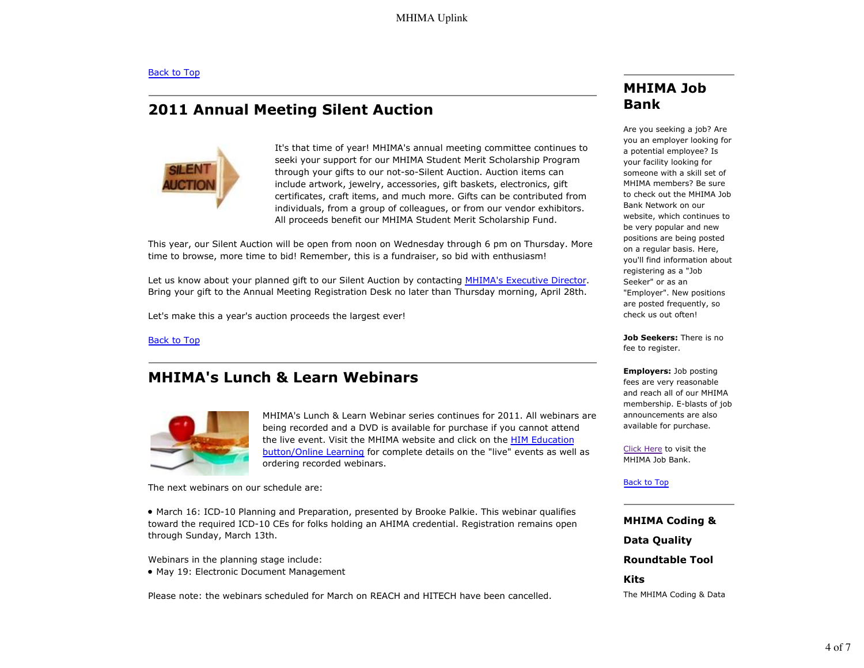## **2011 Annual Meeting Silent Auction**



It's that time of year! MHIMA's annual meeting committee continues to seeki your support for our MHIMA Student Merit Scholarship Program through your gifts to our not-so-Silent Auction. Auction items can include artwork, jewelry, accessories, gift baskets, electronics, gift certificates, craft items, and much more. Gifts can be contributed from individuals, from a group of colleagues, or from our vendor exhibitors. All proceeds benefit our MHIMA Student Merit Scholarship Fund.

This year, our Silent Auction will be open from noon on Wednesday through 6 pm on Thursday. More time to browse, more time to bid! Remember, this is a fundraiser, so bid with enthusiasm!

Let us know about your planned gift to our Silent Auction by contacting MHIMA's Executive Director. Bring your gift to the Annual Meeting Registration Desk no later than Thursday morning, April 28th.

Let's make this a year's auction proceeds the largest ever!

Back to Top

## **MHIMA's Lunch & Learn Webinars**



MHIMA's Lunch & Learn Webinar series continues for 2011. All webinars are being recorded and a DVD is available for purchase if you cannot attend the live event. Visit the MHIMA website and click on the HIM Education button/Online Learning for complete details on the "live" events as well as ordering recorded webinars.

The next webinars on our schedule are:

• March 16: ICD-10 Planning and Preparation, presented by Brooke Palkie. This webinar qualifies toward the required ICD-10 CEs for folks holding an AHIMA credential. Registration remains open through Sunday, March 13th.

Webinars in the planning stage include:

• May 19: Electronic Document Management

Please note: the webinars scheduled for March on REACH and HITECH have been cancelled.

## **MHIMA Job Bank**

Are you seeking a job? Are you an employer looking for a potential employee? Is your facility looking for someone with a skill set of MHIMA members? Be sure to check out the MHIMA Job Bank Network on our website, which continues to be very popular and new positions are being posted on a regular basis. Here, you'll find information about registering as a "Job Seeker" or as an "Employer". New positions are posted frequently, so check us out often!

**Job Seekers:** There is no fee to register.

#### **Employers:** Job posting fees are very reasonable and reach all of our MHIMA membership. E-blasts of job announcements are also available for purchase.

Click Here to visit the MHIMA Job Bank.

### Back to Top

**MHIMA Coding & Data Quality Roundtable Tool Kits** The MHIMA Coding & Data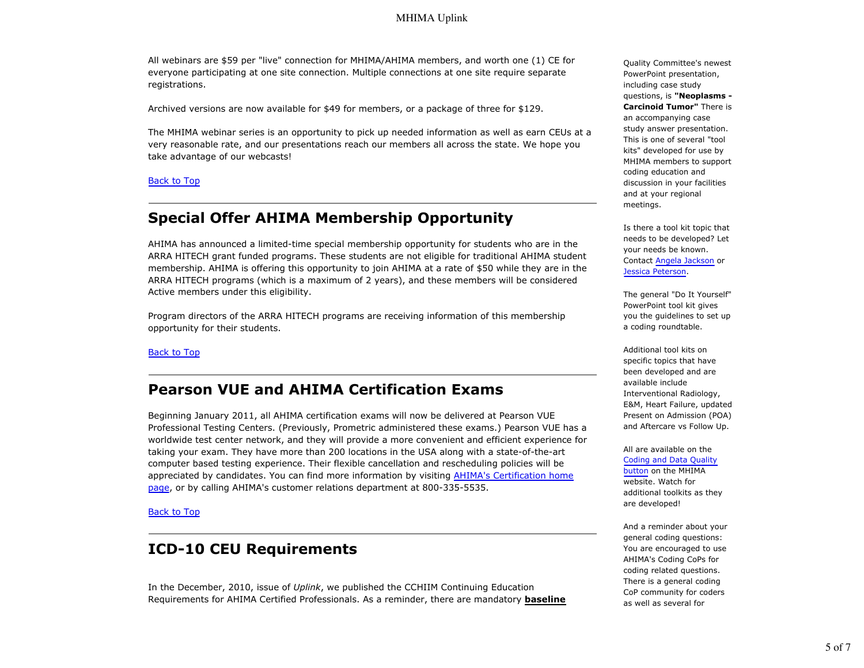All webinars are \$59 per "live" connection for MHIMA/AHIMA members, and worth one (1) CE for everyone participating at one site connection. Multiple connections at one site require separate registrations.

Archived versions are now available for \$49 for members, or a package of three for \$129.

The MHIMA webinar series is an opportunity to pick up needed information as well as earn CEUs at a very reasonable rate, and our presentations reach our members all across the state. We hope you take advantage of our webcasts!

#### Back to Top

## **Special Offer AHIMA Membership Opportunity**

AHIMA has announced a limited-time special membership opportunity for students who are in the ARRA HITECH grant funded programs. These students are not eligible for traditional AHIMA student membership. AHIMA is offering this opportunity to join AHIMA at a rate of \$50 while they are in the ARRA HITECH programs (which is a maximum of 2 years), and these members will be considered Active members under this eligibility.

Program directors of the ARRA HITECH programs are receiving information of this membership opportunity for their students.

### Back to Top

### **Pearson VUE and AHIMA Certification Exams**

Beginning January 2011, all AHIMA certification exams will now be delivered at Pearson VUE Professional Testing Centers. (Previously, Prometric administered these exams.) Pearson VUE has a worldwide test center network, and they will provide a more convenient and efficient experience for taking your exam. They have more than 200 locations in the USA along with a state-of-the-art computer based testing experience. Their flexible cancellation and rescheduling policies will be appreciated by candidates. You can find more information by visiting AHIMA's Certification home page, or by calling AHIMA's customer relations department at 800-335-5535.

**Back to Top** 

### **ICD-10 CEU Requirements**

In the December, 2010, issue of *Uplink*, we published the CCHIIM Continuing Education Requirements for AHIMA Certified Professionals. As a reminder, there are mandatory **baseline** Quality Committee's newest PowerPoint presentation, including case study questions, is **"Neoplasms - Carcinoid Tumor"** There is an accompanying case study answer presentation. This is one of several "tool kits" developed for use by MHIMA members to support coding education and discussion in your facilities and at your regional meetings.

Is there a tool kit topic that needs to be developed? Let your needs be known. Contact Angela Jackson or Jessica Peterson.

The general "Do It Yourself" PowerPoint tool kit gives you the guidelines to set up a coding roundtable.

Additional tool kits on specific topics that have been developed and are available include Interventional Radiology, E&M, Heart Failure, updated Present on Admission (POA) and Aftercare vs Follow Up.

All are available on the Coding and Data Quality button on the MHIMA website. Watch for additional toolkits as they are developed!

And a reminder about your general coding questions: You are encouraged to use AHIMA's Coding CoPs for coding related questions. There is a general coding CoP community for coders as well as several for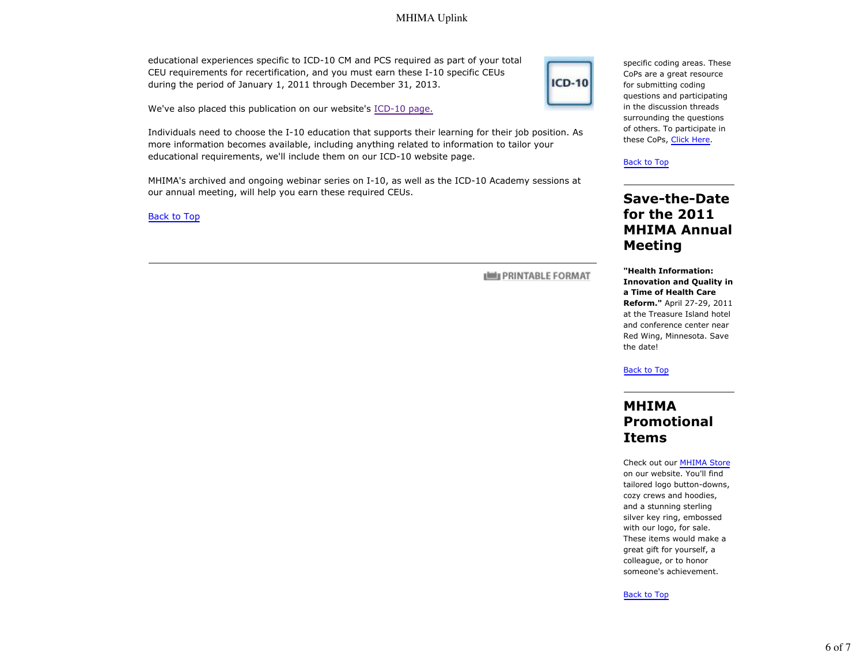### MHIMA Uplink

educational experiences specific to ICD-10 CM and PCS required as part of your total CEU requirements for recertification, and you must earn these I-10 specific CEUs during the period of January 1, 2011 through December 31, 2013.



We've also placed this publication on our website's ICD-10 page.

Individuals need to choose the I-10 education that supports their learning for their job position. As more information becomes available, including anything related to information to tailor your educational requirements, we'll include them on our ICD-10 website page.

MHIMA's archived and ongoing webinar series on I-10, as well as the ICD-10 Academy sessions at our annual meeting, will help you earn these required CEUs.

Back to Top

**PRINTABLE FORMAT** 

specific coding areas. These CoPs are a great resource for submitting coding questions and participating in the discussion threads surrounding the questions of others. To participate in these CoPs, Click Here.

Back to Top

## **Save-the-Date for the 2011 MHIMA Annual Meeting**

**"Health Information: Innovation and Quality in a Time of Health Care Reform."** April 27-29, 2011 at the Treasure Island hotel and conference center near Red Wing, Minnesota. Save the date!

Back to Top

## **MHIMA Promotional Items**

Check out our MHIMA Store on our website. You'll find tailored logo button-downs, cozy crews and hoodies, and a stunning sterling silver key ring, embossed with our logo, for sale. These items would make a great gift for yourself, a colleague, or to honor someone's achievement.

Back to Top